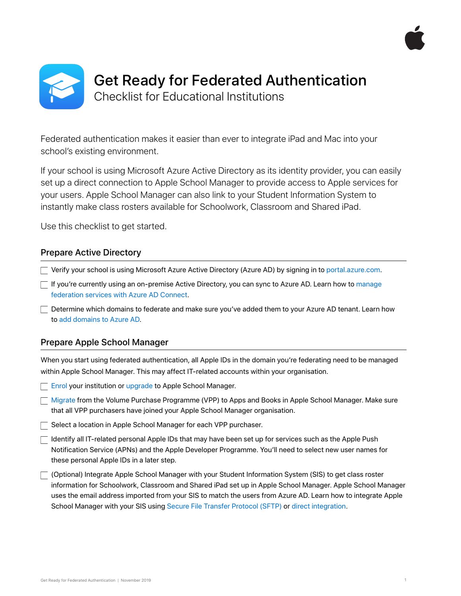



Federated authentication makes it easier than ever to integrate iPad and Mac into your school's existing environment.

If your school is using Microsoft Azure Active Directory as its identity provider, you can easily set up a direct connection to Apple School Manager to provide access to Apple services for your users. Apple School Manager can also link to your Student Information System to instantly make class rosters available for Schoolwork, Classroom and Shared iPad.

Use this checklist to get started.

## Prepare Active Directory

Verify your school is using Microsoft Azure Active Directory (Azure AD) by signing in to [portal.azure.com](https://portal.azure.com).

 $\Box$  If you're currently using an on-premise Active Directory, you can sync to Azure AD. Learn how to manage [federation services with Azure AD Connect.](https://docs.microsoft.com/en-gb/azure/active-directory/hybrid/how-to-connect-fed-management)

 $\Box$  Determine which domains to federate and make sure you've added them to your Azure AD tenant. Learn how to [add domains to Azure AD.](https://docs.microsoft.com/en-gb/azure/active-directory/fundamentals/add-custom-domain)

## Prepare Apple School Manager

When you start using federated authentication, all Apple IDs in the domain you're federating need to be managed within Apple School Manager. This may affect IT-related accounts within your organisation.

**[Enrol](http://school.apple.com/) your institution or [upgrade](https://support.apple.com/en-my/guide/apple-school-manager/tes257fa7955/web) to Apple School Manager.** 

[Migrate](https://support.apple.com/en-my/HT208257) from the Volume Purchase Programme (VPP) to Apps and Books in Apple School Manager. Make sure that all VPP purchasers have joined your Apple School Manager organisation.

 $\Box$  Select a location in Apple School Manager for each VPP purchaser.

 $\Box$  Identify all IT-related personal Apple IDs that may have been set up for services such as the Apple Push Notification Service (APNs) and the Apple Developer Programme. You'll need to select new user names for these personal Apple IDs in a later step.

(Optional) Integrate Apple School Manager with your Student Information System (SIS) to get class roster information for Schoolwork, Classroom and Shared iPad set up in Apple School Manager. Apple School Manager uses the email address imported from your SIS to match the users from Azure AD. Learn how to integrate Apple School Manager with your SIS using [Secure File Transfer Protocol \(SFTP\)](https://support.apple.com/en-my/HT207029) or [direct integration.](https://support.apple.com/en-my/HT207409)